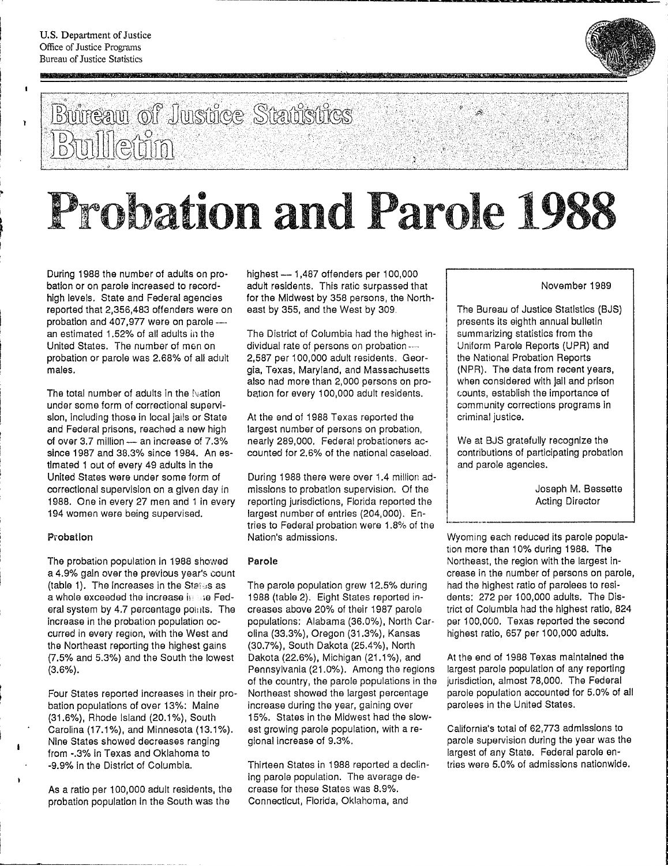$\blacksquare$ 

 $\mathbf{r}$ 



### **Bureau of Justice Statistics** Bulletin

# Probation and Parole 19

- -----------------------~. -~~~-~--~--------. ., ... -------- ..... ---

During 1988 the number of adults on probation or on parole increased to recordhigh levels. State and Federal agencies reported that 2,356,483 offenders were on probation and 407,977 were on parolean estimated 1.52% of all adults in the United States. The number of men on probation or parole was 2.68% of all adult males.

The total number of adults in the Nation under some form of correctional supervision, including those in local jails or State and Federal prisons, reached a new high of over  $3.7$  million  $-$  an increase of  $7.3\%$ since 1987 and 38.3% since 1984. An estimated 1 out of every 49 adults in the United States were under some form of correctional supervision on a given day in 1988. One in every 27 men and 1 in every 194 women were being supervised.

### Probation

The probation population in 1988 showed a 4.9% gain over the previous year's count (table 1). The increases in the States as a whole exceeded the increase is she Federal system by 4.7 percentage pollities. The increase in the probation population occurred in every region, with the West and the Northeast reporting the highest gains (7.5% and 5.3%) and the South the lowest (3.6%).

Four States reported increases in their probation populations of over 13%: Maine (31.6%), Rhode Island (20.1%), South Carolina (17.1%), and Minnesota (13.1%). Nine States showed decreases ranging from -.3% in Texas and Oklahoma to -9.9% in the District of Columbia.

As a ratio per 100,000 adult residents, the probation population in the South was the

highest - 1,487 offenders per 100,000 adutt residents. This ratio surpassed that for the Midwest by 358 persons, the Northeast by 355, and the West by 309.

The District of Columbia had the highest individual rate of persons on probation ---2,587 per 100,000 adult residents. Georgia, Texas, Maryland, and Massachusetts also had more than 2,000 persons on probation for every 100,000 adult residents.

At the end of 1988 Texas reported the largest number of persons on probation, nearly 289,000. Federal probationers accounted for 2.6% of the national caseload.

During 1988 there were over 1.4 million admissions to probation supervision. Of the reporting jurisdictions, Florida reported the largest number of entries (204,000). Entries to Federal probation were 1.8% of the Nation's admissions.

### Parole

The parole population grew 12.5% during 1988 (table 2). Eight States reported increases above 20% of their 1987 parole popUlations: Alabama (36.0%), North Carolina (33.3%), Oregon (31.3%), Kansas (30.7%), South Dakota (25.4%), North Dakota (22.6%), Michigan (21.1%), and Pennsylvania (21.0%). Among the regions of the country, the parole populations in the Northeast showed the largest percentage increase during the year, gaining over 15%. States in the Midwest had the slowest growing parole population, with a regional increase of 9.3%.

Thirteen States in 1988 reported a declining parole population. The average decrease for these States was 8.9%. Connecticut, Florida, Oklahoma, and

November 1989

The Bureau of Justice Statistics (BJS) presents its eighth annual bulletin summarizing statistics from the Uniform Parole Reports (UPR) and the National Probation Reports (NPR). The data from recent years, when considered with jail and prison counts, establish the importance of community corrections programs In criminal justice.

We at BJS gratefully recognize the contributions of participating probation and parole agencies.

> Joseph M. Bessette Acting Director

Wyoming each reduced its parole population more than 10% during 1988. The Northeast, the region with the largest Increase in the number of persons on parole, had the highest ratio of parolees to residents: 272 per 100,000 adults. The District of Columbia had the highest ratio, 824 per 100,000. Texas reported the second highest ratio, 657 per 100,000 adults.

----\_.\_--------------'

At the end of 1988 Texas maintained the largest parole population of any reporting jurisdiction, almost 78,000. The Federal parole population accounted for 5.0% of all parolees in the United States.

California's total of 62,773 admissions to parole supervision during the year was the largest of any State. Federal parole entries were 5.0% of admissions nationwide.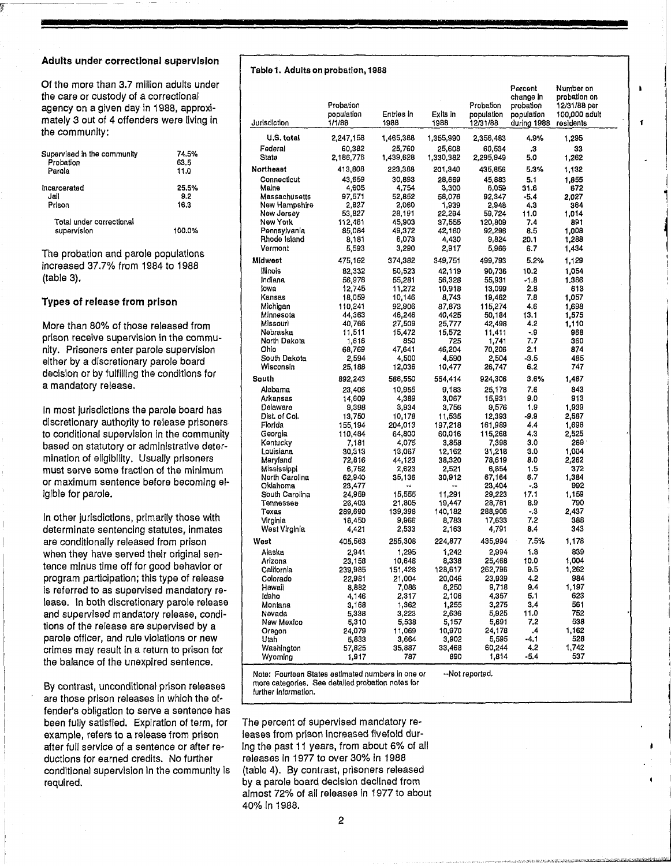### Adults under correctional supervision

 $\overline{r}$  and  $\overline{r}$  are constraint to the constraint of  $\overline{r}$ 

Of the more than 3.7 million adults under the care or custody of a correctional agency on a given day in 1988, approximately 3 out of 4 offenders were living In the community:

| Supervised in the community             | 74.5%  |
|-----------------------------------------|--------|
| Probation                               | 63.5   |
| Parola                                  | 11.0   |
| incarcerated                            | 25.5%  |
| Jail                                    | 9.2    |
| Prison                                  | 16.3   |
| Total under correctional<br>supervision | 100.0% |

The probation and parole populations increased 37.7% from 1984 to 1988 (table 3).

### Types of release from prison

More than 80% of those released from prison receive supervision in the community. Prisoners enter parole supervision either by a discretionary parole board decision or by fulfilling the conditions for a mandatory release.

In most jurisdictions the parole board has discretionary authority to release prisoners to conditional supervision in the community based on statutory or administrative determination of eligibility. Usually prisoners must serve some fraction of the minimum or maximum sentence before becoming eligible for parole.

In other jurisdictions, primarily those with determinate sentencing statutes, inmates are conditionally released from prison when they have served their original sentence minus time off for good behavior or program participation; this type of release is referred to as supervised mandatory release. In both discretionary parole release and supervised mandatory release, conditions of the release are supervised by a parole officer, and rule violations or new crimes may result in a return to prison for the balance of the unexpired sentence.

By contrast, unconditional prison releases are those prison releases In which the offender's obligation to serve a sentence has been fully satisfied. Expiration of term, for example, refers to a release from prison after full service of a sentence or after reductions for earned credits. No further conditional supervision In the communlty is required.

### Table 1. Adults on probation, 1988

| Jurisdiction                   | Probation<br>population<br>1/1/88 | Entries in<br>1988 | Exits in<br>1988    | Probation<br>population<br>12/31/88 | Percent<br>change in<br>nobation<br>population<br>during 1988 | Number on<br>probation on<br>12/31/88 per<br>100,000 adult<br>residents |  |
|--------------------------------|-----------------------------------|--------------------|---------------------|-------------------------------------|---------------------------------------------------------------|-------------------------------------------------------------------------|--|
| U.S. total                     | 2,247,158                         | 1,465,388          |                     |                                     | 4.9%                                                          |                                                                         |  |
| Federal                        | 60,382                            | 25,760             | 1,355,990<br>25,608 | 2,356,483<br>60,534                 | .3                                                            | 1,295<br>33                                                             |  |
| State                          | 2,186,776                         | 1,439,628          | 1,330,382           | 2,295,949                           | 5.0                                                           | 1,262                                                                   |  |
| <b>Northeast</b>               | 413,808                           | 223,388            | 201,340             | 435,856                             | 5.3%                                                          | 1,132                                                                   |  |
| Connecticut                    | 43,659                            | 30,893             | 28,669              | 45,883                              | 5.1                                                           | 1,855                                                                   |  |
| Maine                          | 4,605                             | 4,754              | 3,300               | 6,059                               | 31.6                                                          | 672                                                                     |  |
| Massachusetts<br>New Hampshire | 97,571<br>2,827                   | 52,852<br>2,060    | 58,076<br>1,939     | 92,347<br>2,948                     | -5.4<br>4.3                                                   | 2.027<br>364                                                            |  |
| New Jersey                     | 53.827                            | 28,191             | 22,294              | 59,724                              | 11.0                                                          | 1,014                                                                   |  |
| New York                       | 112.461                           | 45,903             | 37,555              | 120,809                             | 7.4                                                           | 891                                                                     |  |
| Pennsylvania                   | 85,084                            | 49,372             | 42,160              | 92,296                              | 8.5                                                           | 1,008                                                                   |  |
| Rhode Island<br>Vermont        | 8,181                             | 6,073<br>3,290     | 4,430<br>2,917      | 9,824                               | 20.1<br>6.7                                                   | 1,288                                                                   |  |
|                                | 5,593                             |                    |                     | 5,966                               |                                                               | 1,434                                                                   |  |
| Midwest                        | 475,162                           | 374,382            | 349,751             | 499,793                             | 5.2%                                                          | 1,129                                                                   |  |
| Illinois<br>Indiana            | 82,332<br>56,978                  | 50,523<br>55,281   | 42,119<br>56,328    | 90,736<br>55,931                    | 10.2<br>-1.8                                                  | 1,054<br>1,366                                                          |  |
| lowa                           | 12,745                            | 11,272             | 10,918              | 13,099                              | 2.8                                                           | 618                                                                     |  |
| Kansas                         | 18,059                            | 10,146             | 8,743               | 19,462                              | 7.8                                                           | 1,057                                                                   |  |
| Michigan                       | 110,241                           | 92,906             | 87,873              | 115,274                             | 4.6                                                           | 1,698                                                                   |  |
| Minnesota<br>Missouri          | 44,363<br>40,766                  | 46,246<br>27,509   | 40,425<br>25,777    | 50,184<br>42,498                    | 13.1<br>4,2                                                   | 1,575<br>1,110                                                          |  |
| Nebraska                       | 11,511                            | 15,472             | 15,572              | 11,411                              | - 9                                                           | 968                                                                     |  |
| North Dakota                   | 1,616                             | 850                | 725                 | 1,741                               | 7.7                                                           | 360                                                                     |  |
| Ohio                           | 68,769                            | 47,641             | 46,204              | 70,206                              | 2.1                                                           | 874                                                                     |  |
| South Dakota<br>Wisconsin      | 2,594                             | 4,500<br>12,036    | 4,590<br>10,477     | 2,504<br>26,747                     | $-3.5$<br>6.2                                                 | 485<br>747                                                              |  |
|                                | 25,188<br>892,243                 |                    |                     |                                     | 3.6%                                                          |                                                                         |  |
| South                          |                                   | 586,550            | 554,414             | 924,306<br>25.178                   |                                                               | 1,487                                                                   |  |
| Alabama<br>Arkansas            | 23,406<br>14,609                  | 10.955<br>4,389    | 9,183<br>3,067      | 15,931                              | 7.6<br>9.0                                                    | 843<br>913                                                              |  |
| Delaware                       | 9,398                             | 3,934              | 3,756               | 9,576                               | 1.9                                                           | 1,939                                                                   |  |
| Dist. of Col.                  | 13,750                            | 10,178             | 11,535              | 12,393                              | -9.9                                                          | 2,587                                                                   |  |
| Florida                        | 155,194                           | 204,013            | 197,218             | 161,989                             | 4,4                                                           | 1,698                                                                   |  |
| Georgia                        | 110,484                           | 64,800             | 60,016              | 115,268                             | 4.3                                                           | 2,525                                                                   |  |
| Kentucky<br>Louisiana          | 7,181<br>30,313                   | 4,075<br>13,067    | 3,858<br>12,162     | 7,398<br>31,218                     | 3.0<br>3.0                                                    | 269<br>1,004                                                            |  |
| Maryland                       | 72,816                            | 44,123             | 38,320              | 78,619                              | 8.0                                                           | 2,262                                                                   |  |
| Mississippi                    | 6,752                             | 2,623              | 2,521               | 6,854                               | 1.5                                                           | 372                                                                     |  |
| North Carolina                 | 62,940                            | 35,136             | 30,912              | 67,164                              | 6.7                                                           | 1,384                                                                   |  |
| Oklahoma<br>South Carolina     | 23,477<br>24,959                  | خم<br>15,555       | --<br>11,291        | 23,404<br>29,223                    | - 3<br>17.1                                                   | 992<br>1.159                                                            |  |
| Tennessee                      | 26,403                            | 21,805             | 19,447              | 28,761                              | 8,9                                                           | 790                                                                     |  |
| Texas                          | 289,690                           | 139,398            | 140,182             | 288,906                             | - 3                                                           | 2.437                                                                   |  |
| Virginia                       | 16,450                            | 9,966              | 8,783               | 17,633                              | 7.2                                                           | 388                                                                     |  |
| West Virginia                  | 4,421                             | 2,533              | 2,163               | 4,791                               | 8.4                                                           | 343                                                                     |  |
| West                           | 405,563                           | 255,308            | 224,877             | 435,994                             | 7.5%                                                          | 1,178                                                                   |  |
| Alaska                         | 2,941                             | 1,295              | 1,242               | 2,994                               | 1.8                                                           | 839                                                                     |  |
| Arizona<br>California          | 23,158<br>239,985                 | 10,648<br>151,428  | 8,338<br>128,617    | 25,468<br>262,796                   | 10.0<br>9.5                                                   | 1,004<br>1,262                                                          |  |
| Colorado                       | 22,981                            | 21,004             | 20,046              | 23,939                              | 4.2                                                           | 984                                                                     |  |
| Hawaii                         | 8,882                             | 7,086              | 6,250               | 9,718                               | 9,4                                                           | 1,197                                                                   |  |
| Idaho                          | 4.146                             | 2,317              | 2,106               | 4,357                               | 5.1                                                           | 623                                                                     |  |
| Montana                        | 3,168                             | 1,362              | 1.255               | 3,275                               | 3,4                                                           | 561                                                                     |  |
| Nevada<br>New Mexico           | 5,338<br>5,310                    | 3,223<br>5,538     | 2,636<br>5,157      | 5,925<br>5,691                      | 11.0<br>7.2                                                   | 752<br>538                                                              |  |
| Oregon                         | 24,079                            | 11,069             | 10,970              | 24,178                              | .4                                                            | 1,162                                                                   |  |
| Utah                           | 5,833                             | 3,664              | 3,902               | 5,595                               | -4.1                                                          | 528                                                                     |  |
| Washington                     | 57,825                            | 35,887             | 33,468              | 60,244                              | 4.2                                                           | 1,742                                                                   |  |
| Wyoming                        | 1,917                             | 787                | 890                 | 1,814                               | -5.4                                                          | 537                                                                     |  |

,

j<br>j<br>j

Note: Fourteen States estimated numbers in one or --Not reported. more categories. See detailed probation nates for further Information.

The percent of supervised mandatory releases from prison Increased fivefold during the past 11 years, from about 6% of all releases in 1977 to over 30% in 1988 (table 4). By contrast, prisoners released by a parole board decision declined from almost 72% of all releases In 1977 to about 40% in 1988.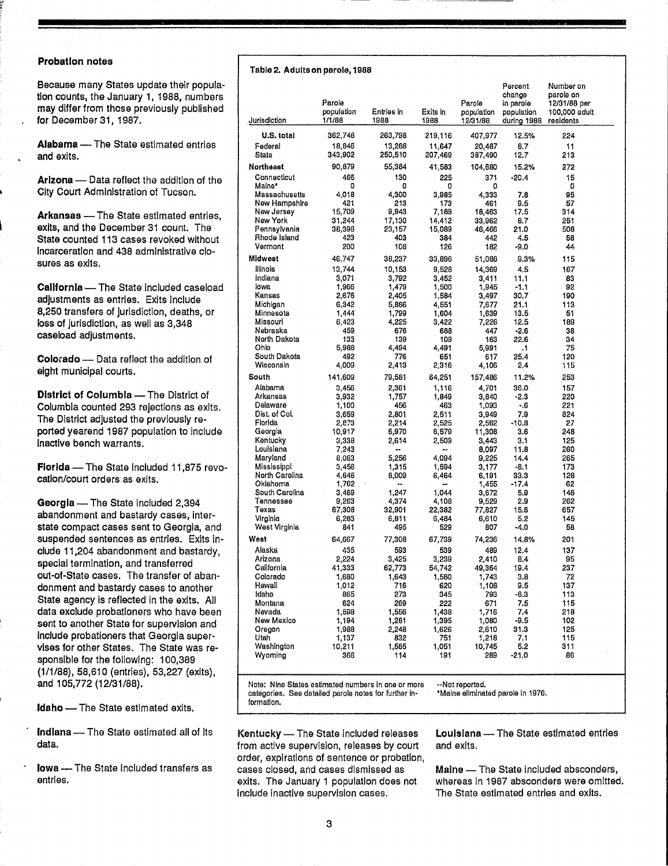### Probation notes

Because many States update their population counts, the January 1, 1988, numbers may differ from those previously published for December 31, 1987.

Alabama - The State estimated entries and exits.

Arizona - Data reflect the addition of the City Court Administration of Tucson.

Arkansas - The State estimated entries, exits, and the December 31 count. The State counted 113 cases revoked without Incarceration and 438 administrative closures as exits.

California - The State included caseload adjustments as entries. Exits include 8,250 transfers of jurisdiction, deaths, or loss of jurisdiction, as well as 3,348 caseload adjustments.

Colorado - Data reflect the addition of eight municipal courts.

District of Columbia - The District of Columbia counted 293 rejections as exits. The District adjusted the previously reported yearend 1987 population to Include Inactive bench warrants.

Florida - The State included 11,875 revocation/court orders as exits.

Georgia - The State included 2,394 abandonment and bastardy cases, interstate compact cases sent to Georgia, and suspended sentences as entries. Exits include 11,204 abandonment and bastardy, special termination, and transferred out-of-State cases. The transfer of abandonment and bastardy cases to another State agency is reflected in the exits. All data exclude probationers who have been sent to another State for supervision and Include probationers that Georgia supervises for other States. The State was responsible for the following: 100,389 (1/1/88),58,610 (entries), 53,227 (exits), and 105,772 (12/31/88).

**Idaho** - The State estimated exits.

Indiana - The State estimated all of its data.

Iowa - The State included transfers as entries.

|  |  | Table 2. Adults on parole, 1988 |
|--|--|---------------------------------|
|--|--|---------------------------------|

| U.S. total<br>362,748<br>263,798<br>224<br>219,116<br>407,977<br>12.5%<br>13,288<br>8.7<br>11<br>Federal<br>18,846<br>11,647<br>20,487<br>State<br>343,902<br>250,510<br>207,469<br>387,490<br>12.7<br>213<br>90,879<br>55,384<br>15.2%<br>272<br>41,583<br>104,680<br>Connecticut<br>466<br>130<br>225<br>371<br>$-20.4$<br>15<br>Maine*<br>0<br>٥<br>0<br>٥<br>0<br>Massachusetts<br>4,300<br>95<br>4,018<br>3,985<br>7.8<br>4.333<br>New Hampshire<br>421<br>213<br>173<br>9.5<br>57<br>461<br>15,709<br>New Jersey<br>9,943<br>7,189<br>18,463<br>17.5<br>314<br>New York<br>31,244<br>17,130<br>14,412<br>8.7<br>251<br>33,962<br>Pennsylvania<br>38,398<br>23,157<br>15,089<br>21.0<br>508<br>46,466<br>Rhode Island<br>423<br>403<br>384<br>4.5<br>442<br>58<br>Vermont<br>200<br>108<br>126<br>-9.0<br>44<br>182<br>46,747<br>38,237<br>33,896<br>51,088<br>9.3%<br>115<br>llinois<br>13,744<br>10,153<br>9,528<br>14,369<br>4,5<br>167<br>Indiana<br>3,071<br>3,792<br>3,452<br>3,411<br>11.1<br>83<br>lowa<br>1,966<br>1,479<br>1,500<br>-1.1<br>92<br>1,945<br>Kansas<br>2,676<br>2,405<br>3,497<br>30.7<br>190<br>1,584<br>Michigan<br>21.1<br>113<br>6,342<br>5,886<br>4,551<br>7,677<br>Minnesota<br>1,444<br>1,799<br>1,604<br>1,639<br>13,5<br>51<br>Missouri<br>6,423<br>4,225<br>3,422<br>7,226<br>12.5<br>189<br>Nebraska<br>676<br>-2.6<br>38<br>459<br>688<br>447<br>North Dakota<br>133<br>139<br>109<br>22.6<br>34<br>163<br>Ohio<br>5,988<br>4,494<br>4,491<br>$\cdot$ 1<br>75<br>5,991<br>South Dakota<br>492<br>776<br>25.4<br>120<br>651<br>617<br>Wisconsin<br>4,009<br>2,413<br>2.4<br>115<br>2,316<br>4,106<br>South<br>79,581<br>11.2%<br>253<br>141,609<br>64,251<br>157,486<br>Alabama<br>3,456<br>2,361<br>1,116<br>4,701<br>36.0<br>157<br>Arkansas<br>$-2.3$<br>3,932<br>1,757<br>1,849<br>3.840<br>220<br>Delaware<br>1,100<br>456<br>463<br>1,093<br>-.6<br>221<br>Dist. of Col.<br>2,801<br>2,511<br>7.9<br>824<br>3,659<br>3,949<br>Florida<br>2,873<br>2,214<br>$-10.8$<br>27<br>2,525<br>2,562<br>Georgia<br>3.6<br>10,917<br>6,970<br>6,579<br>11,308<br>248<br>Kentucky<br>2,614<br>3.1<br>125<br>3,338<br>2,509<br>3,443<br>Louisiana<br>7,243<br>8,097<br>11.8<br>260<br><br>×.<br>Maryland<br>5,256<br>4,094<br>9,225<br>14.4<br>8,063<br>265<br>Mississippi<br>$-8.1$<br>3,456<br>1,315<br>1,594<br>3,177<br>173<br>North Carolina<br>33.3<br>4,646<br>8,009<br>6,464<br>6,191<br>128<br>Oklahoma<br>$-17.4$<br>62<br>1,762<br>1,455<br>۰.<br>South Carolina<br>3,469<br>1,247<br>1.044<br>5.9<br>3,672<br>146<br>Tennessee<br>4,374<br>2.9<br>262<br>9,263<br>4,108<br>9,529<br>Texas<br>15.6<br>67,308<br>32,901<br>77,827<br>657<br>22,382<br>Virginia<br>5.2<br>6,283<br>6,811<br>6,484<br>6,610<br>145<br>West Virginia<br>841<br>495<br>529<br>807<br>-4.0<br>58<br>West<br>77,308<br>64,667<br>67,739<br>74,236<br>14.8%<br>201<br>Alaska<br>435<br>593<br>539<br>489<br>12.4<br>137<br>Arizona<br>2,224<br>3,425<br>3,239<br>95<br>2,410<br>8.4<br>California<br>41,333<br>62,773<br>54,742<br>19.4<br>237<br>49,364<br>Colorado<br>1,680<br>1,643<br>1,580<br>3.8<br>72<br>1,743<br>Hawaii<br>1,012<br>716<br>620<br>1,108<br>9.5<br>137<br>Idaho<br>865<br>273<br>345<br>$-8.3$<br>113<br>793<br>269<br>Montana<br>624<br>222<br>671<br>7.5<br>115<br>Nevada<br>1,598<br>1,556<br>1,438<br>7.4<br>218<br>1,716<br>New Mexico<br>1,281<br>$-9.5$<br>102<br>1,194<br>1,395<br>1,080<br>Oregon<br>1,988<br>2,248<br>1,626<br>31.3<br>125<br>2,610<br>Utah<br>115<br>1,137<br>832<br>751<br>1,218<br>7.1<br>Washington<br>5.2<br>311<br>10,211<br>1,585<br>1,051<br>10,745<br>Wyoming<br>366<br>$-21.0$<br>86<br>114<br>191<br>289 | Jurisdiction | Parole<br>population<br>1/1/88 | Entries in<br>1988 | Exits in<br>1988 | Parole<br>population<br>12/31/88 | Percent<br>change<br>in parole<br>population<br>during 1988 | Number on<br>parole on<br>12/31/88 per<br>100,000 adult<br>residents |  |
|------------------------------------------------------------------------------------------------------------------------------------------------------------------------------------------------------------------------------------------------------------------------------------------------------------------------------------------------------------------------------------------------------------------------------------------------------------------------------------------------------------------------------------------------------------------------------------------------------------------------------------------------------------------------------------------------------------------------------------------------------------------------------------------------------------------------------------------------------------------------------------------------------------------------------------------------------------------------------------------------------------------------------------------------------------------------------------------------------------------------------------------------------------------------------------------------------------------------------------------------------------------------------------------------------------------------------------------------------------------------------------------------------------------------------------------------------------------------------------------------------------------------------------------------------------------------------------------------------------------------------------------------------------------------------------------------------------------------------------------------------------------------------------------------------------------------------------------------------------------------------------------------------------------------------------------------------------------------------------------------------------------------------------------------------------------------------------------------------------------------------------------------------------------------------------------------------------------------------------------------------------------------------------------------------------------------------------------------------------------------------------------------------------------------------------------------------------------------------------------------------------------------------------------------------------------------------------------------------------------------------------------------------------------------------------------------------------------------------------------------------------------------------------------------------------------------------------------------------------------------------------------------------------------------------------------------------------------------------------------------------------------------------------------------------------------------------------------------------------------------------------------------------------------------------------------------------------------------------------------------------------------------------------------------------------------------------------------------------------------------------------------------------------------------------------------------------------------------------------------------------------------------------------------------------------------------------------------------------------------------------------------------------------------------------------------|--------------|--------------------------------|--------------------|------------------|----------------------------------|-------------------------------------------------------------|----------------------------------------------------------------------|--|
|                                                                                                                                                                                                                                                                                                                                                                                                                                                                                                                                                                                                                                                                                                                                                                                                                                                                                                                                                                                                                                                                                                                                                                                                                                                                                                                                                                                                                                                                                                                                                                                                                                                                                                                                                                                                                                                                                                                                                                                                                                                                                                                                                                                                                                                                                                                                                                                                                                                                                                                                                                                                                                                                                                                                                                                                                                                                                                                                                                                                                                                                                                                                                                                                                                                                                                                                                                                                                                                                                                                                                                                                                                                                                          |              |                                |                    |                  |                                  |                                                             |                                                                      |  |
|                                                                                                                                                                                                                                                                                                                                                                                                                                                                                                                                                                                                                                                                                                                                                                                                                                                                                                                                                                                                                                                                                                                                                                                                                                                                                                                                                                                                                                                                                                                                                                                                                                                                                                                                                                                                                                                                                                                                                                                                                                                                                                                                                                                                                                                                                                                                                                                                                                                                                                                                                                                                                                                                                                                                                                                                                                                                                                                                                                                                                                                                                                                                                                                                                                                                                                                                                                                                                                                                                                                                                                                                                                                                                          |              |                                |                    |                  |                                  |                                                             |                                                                      |  |
|                                                                                                                                                                                                                                                                                                                                                                                                                                                                                                                                                                                                                                                                                                                                                                                                                                                                                                                                                                                                                                                                                                                                                                                                                                                                                                                                                                                                                                                                                                                                                                                                                                                                                                                                                                                                                                                                                                                                                                                                                                                                                                                                                                                                                                                                                                                                                                                                                                                                                                                                                                                                                                                                                                                                                                                                                                                                                                                                                                                                                                                                                                                                                                                                                                                                                                                                                                                                                                                                                                                                                                                                                                                                                          |              |                                |                    |                  |                                  |                                                             |                                                                      |  |
|                                                                                                                                                                                                                                                                                                                                                                                                                                                                                                                                                                                                                                                                                                                                                                                                                                                                                                                                                                                                                                                                                                                                                                                                                                                                                                                                                                                                                                                                                                                                                                                                                                                                                                                                                                                                                                                                                                                                                                                                                                                                                                                                                                                                                                                                                                                                                                                                                                                                                                                                                                                                                                                                                                                                                                                                                                                                                                                                                                                                                                                                                                                                                                                                                                                                                                                                                                                                                                                                                                                                                                                                                                                                                          | Northeast    |                                |                    |                  |                                  |                                                             |                                                                      |  |
|                                                                                                                                                                                                                                                                                                                                                                                                                                                                                                                                                                                                                                                                                                                                                                                                                                                                                                                                                                                                                                                                                                                                                                                                                                                                                                                                                                                                                                                                                                                                                                                                                                                                                                                                                                                                                                                                                                                                                                                                                                                                                                                                                                                                                                                                                                                                                                                                                                                                                                                                                                                                                                                                                                                                                                                                                                                                                                                                                                                                                                                                                                                                                                                                                                                                                                                                                                                                                                                                                                                                                                                                                                                                                          |              |                                |                    |                  |                                  |                                                             |                                                                      |  |
|                                                                                                                                                                                                                                                                                                                                                                                                                                                                                                                                                                                                                                                                                                                                                                                                                                                                                                                                                                                                                                                                                                                                                                                                                                                                                                                                                                                                                                                                                                                                                                                                                                                                                                                                                                                                                                                                                                                                                                                                                                                                                                                                                                                                                                                                                                                                                                                                                                                                                                                                                                                                                                                                                                                                                                                                                                                                                                                                                                                                                                                                                                                                                                                                                                                                                                                                                                                                                                                                                                                                                                                                                                                                                          |              |                                |                    |                  |                                  |                                                             |                                                                      |  |
|                                                                                                                                                                                                                                                                                                                                                                                                                                                                                                                                                                                                                                                                                                                                                                                                                                                                                                                                                                                                                                                                                                                                                                                                                                                                                                                                                                                                                                                                                                                                                                                                                                                                                                                                                                                                                                                                                                                                                                                                                                                                                                                                                                                                                                                                                                                                                                                                                                                                                                                                                                                                                                                                                                                                                                                                                                                                                                                                                                                                                                                                                                                                                                                                                                                                                                                                                                                                                                                                                                                                                                                                                                                                                          |              |                                |                    |                  |                                  |                                                             |                                                                      |  |
|                                                                                                                                                                                                                                                                                                                                                                                                                                                                                                                                                                                                                                                                                                                                                                                                                                                                                                                                                                                                                                                                                                                                                                                                                                                                                                                                                                                                                                                                                                                                                                                                                                                                                                                                                                                                                                                                                                                                                                                                                                                                                                                                                                                                                                                                                                                                                                                                                                                                                                                                                                                                                                                                                                                                                                                                                                                                                                                                                                                                                                                                                                                                                                                                                                                                                                                                                                                                                                                                                                                                                                                                                                                                                          |              |                                |                    |                  |                                  |                                                             |                                                                      |  |
|                                                                                                                                                                                                                                                                                                                                                                                                                                                                                                                                                                                                                                                                                                                                                                                                                                                                                                                                                                                                                                                                                                                                                                                                                                                                                                                                                                                                                                                                                                                                                                                                                                                                                                                                                                                                                                                                                                                                                                                                                                                                                                                                                                                                                                                                                                                                                                                                                                                                                                                                                                                                                                                                                                                                                                                                                                                                                                                                                                                                                                                                                                                                                                                                                                                                                                                                                                                                                                                                                                                                                                                                                                                                                          |              |                                |                    |                  |                                  |                                                             |                                                                      |  |
|                                                                                                                                                                                                                                                                                                                                                                                                                                                                                                                                                                                                                                                                                                                                                                                                                                                                                                                                                                                                                                                                                                                                                                                                                                                                                                                                                                                                                                                                                                                                                                                                                                                                                                                                                                                                                                                                                                                                                                                                                                                                                                                                                                                                                                                                                                                                                                                                                                                                                                                                                                                                                                                                                                                                                                                                                                                                                                                                                                                                                                                                                                                                                                                                                                                                                                                                                                                                                                                                                                                                                                                                                                                                                          |              |                                |                    |                  |                                  |                                                             |                                                                      |  |
|                                                                                                                                                                                                                                                                                                                                                                                                                                                                                                                                                                                                                                                                                                                                                                                                                                                                                                                                                                                                                                                                                                                                                                                                                                                                                                                                                                                                                                                                                                                                                                                                                                                                                                                                                                                                                                                                                                                                                                                                                                                                                                                                                                                                                                                                                                                                                                                                                                                                                                                                                                                                                                                                                                                                                                                                                                                                                                                                                                                                                                                                                                                                                                                                                                                                                                                                                                                                                                                                                                                                                                                                                                                                                          |              |                                |                    |                  |                                  |                                                             |                                                                      |  |
|                                                                                                                                                                                                                                                                                                                                                                                                                                                                                                                                                                                                                                                                                                                                                                                                                                                                                                                                                                                                                                                                                                                                                                                                                                                                                                                                                                                                                                                                                                                                                                                                                                                                                                                                                                                                                                                                                                                                                                                                                                                                                                                                                                                                                                                                                                                                                                                                                                                                                                                                                                                                                                                                                                                                                                                                                                                                                                                                                                                                                                                                                                                                                                                                                                                                                                                                                                                                                                                                                                                                                                                                                                                                                          | Midwest      |                                |                    |                  |                                  |                                                             |                                                                      |  |
|                                                                                                                                                                                                                                                                                                                                                                                                                                                                                                                                                                                                                                                                                                                                                                                                                                                                                                                                                                                                                                                                                                                                                                                                                                                                                                                                                                                                                                                                                                                                                                                                                                                                                                                                                                                                                                                                                                                                                                                                                                                                                                                                                                                                                                                                                                                                                                                                                                                                                                                                                                                                                                                                                                                                                                                                                                                                                                                                                                                                                                                                                                                                                                                                                                                                                                                                                                                                                                                                                                                                                                                                                                                                                          |              |                                |                    |                  |                                  |                                                             |                                                                      |  |
|                                                                                                                                                                                                                                                                                                                                                                                                                                                                                                                                                                                                                                                                                                                                                                                                                                                                                                                                                                                                                                                                                                                                                                                                                                                                                                                                                                                                                                                                                                                                                                                                                                                                                                                                                                                                                                                                                                                                                                                                                                                                                                                                                                                                                                                                                                                                                                                                                                                                                                                                                                                                                                                                                                                                                                                                                                                                                                                                                                                                                                                                                                                                                                                                                                                                                                                                                                                                                                                                                                                                                                                                                                                                                          |              |                                |                    |                  |                                  |                                                             |                                                                      |  |
|                                                                                                                                                                                                                                                                                                                                                                                                                                                                                                                                                                                                                                                                                                                                                                                                                                                                                                                                                                                                                                                                                                                                                                                                                                                                                                                                                                                                                                                                                                                                                                                                                                                                                                                                                                                                                                                                                                                                                                                                                                                                                                                                                                                                                                                                                                                                                                                                                                                                                                                                                                                                                                                                                                                                                                                                                                                                                                                                                                                                                                                                                                                                                                                                                                                                                                                                                                                                                                                                                                                                                                                                                                                                                          |              |                                |                    |                  |                                  |                                                             |                                                                      |  |
|                                                                                                                                                                                                                                                                                                                                                                                                                                                                                                                                                                                                                                                                                                                                                                                                                                                                                                                                                                                                                                                                                                                                                                                                                                                                                                                                                                                                                                                                                                                                                                                                                                                                                                                                                                                                                                                                                                                                                                                                                                                                                                                                                                                                                                                                                                                                                                                                                                                                                                                                                                                                                                                                                                                                                                                                                                                                                                                                                                                                                                                                                                                                                                                                                                                                                                                                                                                                                                                                                                                                                                                                                                                                                          |              |                                |                    |                  |                                  |                                                             |                                                                      |  |
|                                                                                                                                                                                                                                                                                                                                                                                                                                                                                                                                                                                                                                                                                                                                                                                                                                                                                                                                                                                                                                                                                                                                                                                                                                                                                                                                                                                                                                                                                                                                                                                                                                                                                                                                                                                                                                                                                                                                                                                                                                                                                                                                                                                                                                                                                                                                                                                                                                                                                                                                                                                                                                                                                                                                                                                                                                                                                                                                                                                                                                                                                                                                                                                                                                                                                                                                                                                                                                                                                                                                                                                                                                                                                          |              |                                |                    |                  |                                  |                                                             |                                                                      |  |
|                                                                                                                                                                                                                                                                                                                                                                                                                                                                                                                                                                                                                                                                                                                                                                                                                                                                                                                                                                                                                                                                                                                                                                                                                                                                                                                                                                                                                                                                                                                                                                                                                                                                                                                                                                                                                                                                                                                                                                                                                                                                                                                                                                                                                                                                                                                                                                                                                                                                                                                                                                                                                                                                                                                                                                                                                                                                                                                                                                                                                                                                                                                                                                                                                                                                                                                                                                                                                                                                                                                                                                                                                                                                                          |              |                                |                    |                  |                                  |                                                             |                                                                      |  |
|                                                                                                                                                                                                                                                                                                                                                                                                                                                                                                                                                                                                                                                                                                                                                                                                                                                                                                                                                                                                                                                                                                                                                                                                                                                                                                                                                                                                                                                                                                                                                                                                                                                                                                                                                                                                                                                                                                                                                                                                                                                                                                                                                                                                                                                                                                                                                                                                                                                                                                                                                                                                                                                                                                                                                                                                                                                                                                                                                                                                                                                                                                                                                                                                                                                                                                                                                                                                                                                                                                                                                                                                                                                                                          |              |                                |                    |                  |                                  |                                                             |                                                                      |  |
|                                                                                                                                                                                                                                                                                                                                                                                                                                                                                                                                                                                                                                                                                                                                                                                                                                                                                                                                                                                                                                                                                                                                                                                                                                                                                                                                                                                                                                                                                                                                                                                                                                                                                                                                                                                                                                                                                                                                                                                                                                                                                                                                                                                                                                                                                                                                                                                                                                                                                                                                                                                                                                                                                                                                                                                                                                                                                                                                                                                                                                                                                                                                                                                                                                                                                                                                                                                                                                                                                                                                                                                                                                                                                          |              |                                |                    |                  |                                  |                                                             |                                                                      |  |
|                                                                                                                                                                                                                                                                                                                                                                                                                                                                                                                                                                                                                                                                                                                                                                                                                                                                                                                                                                                                                                                                                                                                                                                                                                                                                                                                                                                                                                                                                                                                                                                                                                                                                                                                                                                                                                                                                                                                                                                                                                                                                                                                                                                                                                                                                                                                                                                                                                                                                                                                                                                                                                                                                                                                                                                                                                                                                                                                                                                                                                                                                                                                                                                                                                                                                                                                                                                                                                                                                                                                                                                                                                                                                          |              |                                |                    |                  |                                  |                                                             |                                                                      |  |
|                                                                                                                                                                                                                                                                                                                                                                                                                                                                                                                                                                                                                                                                                                                                                                                                                                                                                                                                                                                                                                                                                                                                                                                                                                                                                                                                                                                                                                                                                                                                                                                                                                                                                                                                                                                                                                                                                                                                                                                                                                                                                                                                                                                                                                                                                                                                                                                                                                                                                                                                                                                                                                                                                                                                                                                                                                                                                                                                                                                                                                                                                                                                                                                                                                                                                                                                                                                                                                                                                                                                                                                                                                                                                          |              |                                |                    |                  |                                  |                                                             |                                                                      |  |
|                                                                                                                                                                                                                                                                                                                                                                                                                                                                                                                                                                                                                                                                                                                                                                                                                                                                                                                                                                                                                                                                                                                                                                                                                                                                                                                                                                                                                                                                                                                                                                                                                                                                                                                                                                                                                                                                                                                                                                                                                                                                                                                                                                                                                                                                                                                                                                                                                                                                                                                                                                                                                                                                                                                                                                                                                                                                                                                                                                                                                                                                                                                                                                                                                                                                                                                                                                                                                                                                                                                                                                                                                                                                                          |              |                                |                    |                  |                                  |                                                             |                                                                      |  |
|                                                                                                                                                                                                                                                                                                                                                                                                                                                                                                                                                                                                                                                                                                                                                                                                                                                                                                                                                                                                                                                                                                                                                                                                                                                                                                                                                                                                                                                                                                                                                                                                                                                                                                                                                                                                                                                                                                                                                                                                                                                                                                                                                                                                                                                                                                                                                                                                                                                                                                                                                                                                                                                                                                                                                                                                                                                                                                                                                                                                                                                                                                                                                                                                                                                                                                                                                                                                                                                                                                                                                                                                                                                                                          |              |                                |                    |                  |                                  |                                                             |                                                                      |  |
|                                                                                                                                                                                                                                                                                                                                                                                                                                                                                                                                                                                                                                                                                                                                                                                                                                                                                                                                                                                                                                                                                                                                                                                                                                                                                                                                                                                                                                                                                                                                                                                                                                                                                                                                                                                                                                                                                                                                                                                                                                                                                                                                                                                                                                                                                                                                                                                                                                                                                                                                                                                                                                                                                                                                                                                                                                                                                                                                                                                                                                                                                                                                                                                                                                                                                                                                                                                                                                                                                                                                                                                                                                                                                          |              |                                |                    |                  |                                  |                                                             |                                                                      |  |
|                                                                                                                                                                                                                                                                                                                                                                                                                                                                                                                                                                                                                                                                                                                                                                                                                                                                                                                                                                                                                                                                                                                                                                                                                                                                                                                                                                                                                                                                                                                                                                                                                                                                                                                                                                                                                                                                                                                                                                                                                                                                                                                                                                                                                                                                                                                                                                                                                                                                                                                                                                                                                                                                                                                                                                                                                                                                                                                                                                                                                                                                                                                                                                                                                                                                                                                                                                                                                                                                                                                                                                                                                                                                                          |              |                                |                    |                  |                                  |                                                             |                                                                      |  |
|                                                                                                                                                                                                                                                                                                                                                                                                                                                                                                                                                                                                                                                                                                                                                                                                                                                                                                                                                                                                                                                                                                                                                                                                                                                                                                                                                                                                                                                                                                                                                                                                                                                                                                                                                                                                                                                                                                                                                                                                                                                                                                                                                                                                                                                                                                                                                                                                                                                                                                                                                                                                                                                                                                                                                                                                                                                                                                                                                                                                                                                                                                                                                                                                                                                                                                                                                                                                                                                                                                                                                                                                                                                                                          |              |                                |                    |                  |                                  |                                                             |                                                                      |  |
|                                                                                                                                                                                                                                                                                                                                                                                                                                                                                                                                                                                                                                                                                                                                                                                                                                                                                                                                                                                                                                                                                                                                                                                                                                                                                                                                                                                                                                                                                                                                                                                                                                                                                                                                                                                                                                                                                                                                                                                                                                                                                                                                                                                                                                                                                                                                                                                                                                                                                                                                                                                                                                                                                                                                                                                                                                                                                                                                                                                                                                                                                                                                                                                                                                                                                                                                                                                                                                                                                                                                                                                                                                                                                          |              |                                |                    |                  |                                  |                                                             |                                                                      |  |
|                                                                                                                                                                                                                                                                                                                                                                                                                                                                                                                                                                                                                                                                                                                                                                                                                                                                                                                                                                                                                                                                                                                                                                                                                                                                                                                                                                                                                                                                                                                                                                                                                                                                                                                                                                                                                                                                                                                                                                                                                                                                                                                                                                                                                                                                                                                                                                                                                                                                                                                                                                                                                                                                                                                                                                                                                                                                                                                                                                                                                                                                                                                                                                                                                                                                                                                                                                                                                                                                                                                                                                                                                                                                                          |              |                                |                    |                  |                                  |                                                             |                                                                      |  |
|                                                                                                                                                                                                                                                                                                                                                                                                                                                                                                                                                                                                                                                                                                                                                                                                                                                                                                                                                                                                                                                                                                                                                                                                                                                                                                                                                                                                                                                                                                                                                                                                                                                                                                                                                                                                                                                                                                                                                                                                                                                                                                                                                                                                                                                                                                                                                                                                                                                                                                                                                                                                                                                                                                                                                                                                                                                                                                                                                                                                                                                                                                                                                                                                                                                                                                                                                                                                                                                                                                                                                                                                                                                                                          |              |                                |                    |                  |                                  |                                                             |                                                                      |  |
|                                                                                                                                                                                                                                                                                                                                                                                                                                                                                                                                                                                                                                                                                                                                                                                                                                                                                                                                                                                                                                                                                                                                                                                                                                                                                                                                                                                                                                                                                                                                                                                                                                                                                                                                                                                                                                                                                                                                                                                                                                                                                                                                                                                                                                                                                                                                                                                                                                                                                                                                                                                                                                                                                                                                                                                                                                                                                                                                                                                                                                                                                                                                                                                                                                                                                                                                                                                                                                                                                                                                                                                                                                                                                          |              |                                |                    |                  |                                  |                                                             |                                                                      |  |
|                                                                                                                                                                                                                                                                                                                                                                                                                                                                                                                                                                                                                                                                                                                                                                                                                                                                                                                                                                                                                                                                                                                                                                                                                                                                                                                                                                                                                                                                                                                                                                                                                                                                                                                                                                                                                                                                                                                                                                                                                                                                                                                                                                                                                                                                                                                                                                                                                                                                                                                                                                                                                                                                                                                                                                                                                                                                                                                                                                                                                                                                                                                                                                                                                                                                                                                                                                                                                                                                                                                                                                                                                                                                                          |              |                                |                    |                  |                                  |                                                             |                                                                      |  |
|                                                                                                                                                                                                                                                                                                                                                                                                                                                                                                                                                                                                                                                                                                                                                                                                                                                                                                                                                                                                                                                                                                                                                                                                                                                                                                                                                                                                                                                                                                                                                                                                                                                                                                                                                                                                                                                                                                                                                                                                                                                                                                                                                                                                                                                                                                                                                                                                                                                                                                                                                                                                                                                                                                                                                                                                                                                                                                                                                                                                                                                                                                                                                                                                                                                                                                                                                                                                                                                                                                                                                                                                                                                                                          |              |                                |                    |                  |                                  |                                                             |                                                                      |  |
|                                                                                                                                                                                                                                                                                                                                                                                                                                                                                                                                                                                                                                                                                                                                                                                                                                                                                                                                                                                                                                                                                                                                                                                                                                                                                                                                                                                                                                                                                                                                                                                                                                                                                                                                                                                                                                                                                                                                                                                                                                                                                                                                                                                                                                                                                                                                                                                                                                                                                                                                                                                                                                                                                                                                                                                                                                                                                                                                                                                                                                                                                                                                                                                                                                                                                                                                                                                                                                                                                                                                                                                                                                                                                          |              |                                |                    |                  |                                  |                                                             |                                                                      |  |
|                                                                                                                                                                                                                                                                                                                                                                                                                                                                                                                                                                                                                                                                                                                                                                                                                                                                                                                                                                                                                                                                                                                                                                                                                                                                                                                                                                                                                                                                                                                                                                                                                                                                                                                                                                                                                                                                                                                                                                                                                                                                                                                                                                                                                                                                                                                                                                                                                                                                                                                                                                                                                                                                                                                                                                                                                                                                                                                                                                                                                                                                                                                                                                                                                                                                                                                                                                                                                                                                                                                                                                                                                                                                                          |              |                                |                    |                  |                                  |                                                             |                                                                      |  |
|                                                                                                                                                                                                                                                                                                                                                                                                                                                                                                                                                                                                                                                                                                                                                                                                                                                                                                                                                                                                                                                                                                                                                                                                                                                                                                                                                                                                                                                                                                                                                                                                                                                                                                                                                                                                                                                                                                                                                                                                                                                                                                                                                                                                                                                                                                                                                                                                                                                                                                                                                                                                                                                                                                                                                                                                                                                                                                                                                                                                                                                                                                                                                                                                                                                                                                                                                                                                                                                                                                                                                                                                                                                                                          |              |                                |                    |                  |                                  |                                                             |                                                                      |  |
|                                                                                                                                                                                                                                                                                                                                                                                                                                                                                                                                                                                                                                                                                                                                                                                                                                                                                                                                                                                                                                                                                                                                                                                                                                                                                                                                                                                                                                                                                                                                                                                                                                                                                                                                                                                                                                                                                                                                                                                                                                                                                                                                                                                                                                                                                                                                                                                                                                                                                                                                                                                                                                                                                                                                                                                                                                                                                                                                                                                                                                                                                                                                                                                                                                                                                                                                                                                                                                                                                                                                                                                                                                                                                          |              |                                |                    |                  |                                  |                                                             |                                                                      |  |
|                                                                                                                                                                                                                                                                                                                                                                                                                                                                                                                                                                                                                                                                                                                                                                                                                                                                                                                                                                                                                                                                                                                                                                                                                                                                                                                                                                                                                                                                                                                                                                                                                                                                                                                                                                                                                                                                                                                                                                                                                                                                                                                                                                                                                                                                                                                                                                                                                                                                                                                                                                                                                                                                                                                                                                                                                                                                                                                                                                                                                                                                                                                                                                                                                                                                                                                                                                                                                                                                                                                                                                                                                                                                                          |              |                                |                    |                  |                                  |                                                             |                                                                      |  |
|                                                                                                                                                                                                                                                                                                                                                                                                                                                                                                                                                                                                                                                                                                                                                                                                                                                                                                                                                                                                                                                                                                                                                                                                                                                                                                                                                                                                                                                                                                                                                                                                                                                                                                                                                                                                                                                                                                                                                                                                                                                                                                                                                                                                                                                                                                                                                                                                                                                                                                                                                                                                                                                                                                                                                                                                                                                                                                                                                                                                                                                                                                                                                                                                                                                                                                                                                                                                                                                                                                                                                                                                                                                                                          |              |                                |                    |                  |                                  |                                                             |                                                                      |  |
|                                                                                                                                                                                                                                                                                                                                                                                                                                                                                                                                                                                                                                                                                                                                                                                                                                                                                                                                                                                                                                                                                                                                                                                                                                                                                                                                                                                                                                                                                                                                                                                                                                                                                                                                                                                                                                                                                                                                                                                                                                                                                                                                                                                                                                                                                                                                                                                                                                                                                                                                                                                                                                                                                                                                                                                                                                                                                                                                                                                                                                                                                                                                                                                                                                                                                                                                                                                                                                                                                                                                                                                                                                                                                          |              |                                |                    |                  |                                  |                                                             |                                                                      |  |
|                                                                                                                                                                                                                                                                                                                                                                                                                                                                                                                                                                                                                                                                                                                                                                                                                                                                                                                                                                                                                                                                                                                                                                                                                                                                                                                                                                                                                                                                                                                                                                                                                                                                                                                                                                                                                                                                                                                                                                                                                                                                                                                                                                                                                                                                                                                                                                                                                                                                                                                                                                                                                                                                                                                                                                                                                                                                                                                                                                                                                                                                                                                                                                                                                                                                                                                                                                                                                                                                                                                                                                                                                                                                                          |              |                                |                    |                  |                                  |                                                             |                                                                      |  |
|                                                                                                                                                                                                                                                                                                                                                                                                                                                                                                                                                                                                                                                                                                                                                                                                                                                                                                                                                                                                                                                                                                                                                                                                                                                                                                                                                                                                                                                                                                                                                                                                                                                                                                                                                                                                                                                                                                                                                                                                                                                                                                                                                                                                                                                                                                                                                                                                                                                                                                                                                                                                                                                                                                                                                                                                                                                                                                                                                                                                                                                                                                                                                                                                                                                                                                                                                                                                                                                                                                                                                                                                                                                                                          |              |                                |                    |                  |                                  |                                                             |                                                                      |  |
|                                                                                                                                                                                                                                                                                                                                                                                                                                                                                                                                                                                                                                                                                                                                                                                                                                                                                                                                                                                                                                                                                                                                                                                                                                                                                                                                                                                                                                                                                                                                                                                                                                                                                                                                                                                                                                                                                                                                                                                                                                                                                                                                                                                                                                                                                                                                                                                                                                                                                                                                                                                                                                                                                                                                                                                                                                                                                                                                                                                                                                                                                                                                                                                                                                                                                                                                                                                                                                                                                                                                                                                                                                                                                          |              |                                |                    |                  |                                  |                                                             |                                                                      |  |
|                                                                                                                                                                                                                                                                                                                                                                                                                                                                                                                                                                                                                                                                                                                                                                                                                                                                                                                                                                                                                                                                                                                                                                                                                                                                                                                                                                                                                                                                                                                                                                                                                                                                                                                                                                                                                                                                                                                                                                                                                                                                                                                                                                                                                                                                                                                                                                                                                                                                                                                                                                                                                                                                                                                                                                                                                                                                                                                                                                                                                                                                                                                                                                                                                                                                                                                                                                                                                                                                                                                                                                                                                                                                                          |              |                                |                    |                  |                                  |                                                             |                                                                      |  |
|                                                                                                                                                                                                                                                                                                                                                                                                                                                                                                                                                                                                                                                                                                                                                                                                                                                                                                                                                                                                                                                                                                                                                                                                                                                                                                                                                                                                                                                                                                                                                                                                                                                                                                                                                                                                                                                                                                                                                                                                                                                                                                                                                                                                                                                                                                                                                                                                                                                                                                                                                                                                                                                                                                                                                                                                                                                                                                                                                                                                                                                                                                                                                                                                                                                                                                                                                                                                                                                                                                                                                                                                                                                                                          |              |                                |                    |                  |                                  |                                                             |                                                                      |  |
|                                                                                                                                                                                                                                                                                                                                                                                                                                                                                                                                                                                                                                                                                                                                                                                                                                                                                                                                                                                                                                                                                                                                                                                                                                                                                                                                                                                                                                                                                                                                                                                                                                                                                                                                                                                                                                                                                                                                                                                                                                                                                                                                                                                                                                                                                                                                                                                                                                                                                                                                                                                                                                                                                                                                                                                                                                                                                                                                                                                                                                                                                                                                                                                                                                                                                                                                                                                                                                                                                                                                                                                                                                                                                          |              |                                |                    |                  |                                  |                                                             |                                                                      |  |
|                                                                                                                                                                                                                                                                                                                                                                                                                                                                                                                                                                                                                                                                                                                                                                                                                                                                                                                                                                                                                                                                                                                                                                                                                                                                                                                                                                                                                                                                                                                                                                                                                                                                                                                                                                                                                                                                                                                                                                                                                                                                                                                                                                                                                                                                                                                                                                                                                                                                                                                                                                                                                                                                                                                                                                                                                                                                                                                                                                                                                                                                                                                                                                                                                                                                                                                                                                                                                                                                                                                                                                                                                                                                                          |              |                                |                    |                  |                                  |                                                             |                                                                      |  |
|                                                                                                                                                                                                                                                                                                                                                                                                                                                                                                                                                                                                                                                                                                                                                                                                                                                                                                                                                                                                                                                                                                                                                                                                                                                                                                                                                                                                                                                                                                                                                                                                                                                                                                                                                                                                                                                                                                                                                                                                                                                                                                                                                                                                                                                                                                                                                                                                                                                                                                                                                                                                                                                                                                                                                                                                                                                                                                                                                                                                                                                                                                                                                                                                                                                                                                                                                                                                                                                                                                                                                                                                                                                                                          |              |                                |                    |                  |                                  |                                                             |                                                                      |  |

Note: Nine States estimated numbers In one or more categories. See detailed parole notes for further information.

Kentucky - The State included releases from active supervision, releases by court order, expirations of sentence or probation, cases closed, and cases dismissed as exits. The January 1 population does not InclUde Inactive supervision cases.

Louisiana - The State estimated entries and exits.

--Not reported.

'Maine eliminated parole In 1976.

Maine - The State included absconders, whereas In 1987 absconders were omitted. The State estimated entries and exits.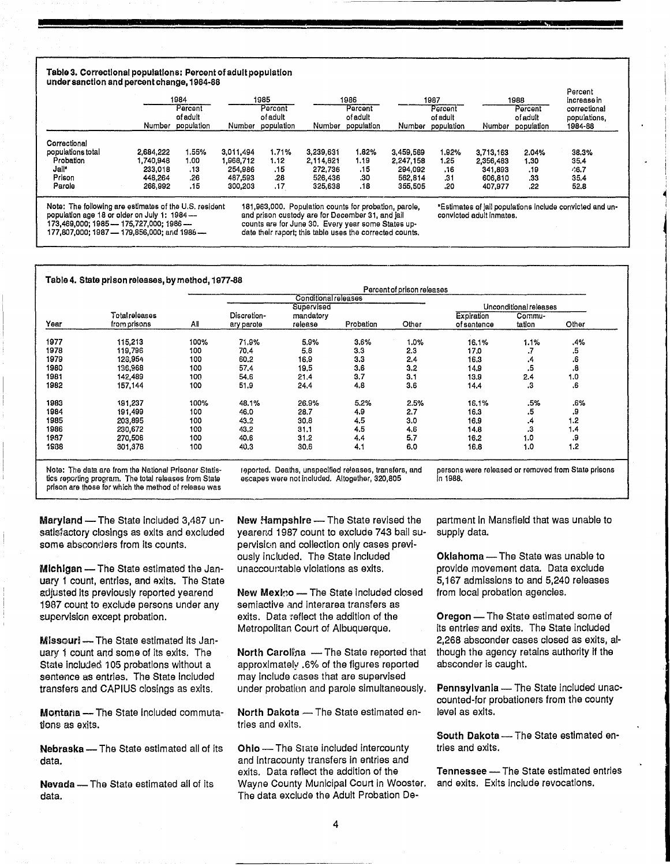### Table 3. Correctional populations: Percent of adult population under sanction and percent change, 1984-88

|                   | Number    | 1984<br>Percent<br>of adult<br>population | Number    | 1985<br>Percent<br>of adult<br>population | Number    | 1986<br>Percent<br>of adult<br>population | Number    | 1987<br>Percent<br>of adult<br>population | Number    | 1988<br>Percent<br>of adult<br>population | Percent<br>increase in<br>correctional<br>populations,<br>1984-88 |
|-------------------|-----------|-------------------------------------------|-----------|-------------------------------------------|-----------|-------------------------------------------|-----------|-------------------------------------------|-----------|-------------------------------------------|-------------------------------------------------------------------|
| Correctional      |           |                                           |           |                                           |           |                                           |           |                                           |           |                                           |                                                                   |
| populations total | 2,684.222 | 1.55%                                     | 3.011.494 | 1.71%                                     | 3.239.631 | .82%                                      | 3.459.569 | 1.92%                                     | 3.713.163 | 2.04%                                     | 38.3%                                                             |
| Probation         | .740.948  | 1.00                                      | 1,968,712 | 1.12                                      | 2,114,821 | 1.19                                      | 2,247,158 | 1.25                                      | 2.356,483 | 1.30                                      | 35.4                                                              |
| Jail*             | 233,018   | .13                                       | 254,986   | .15                                       | 272,736   | .15                                       | 294.092   | .16                                       | 341,893   | .19                                       | 46.7                                                              |
| Prison            | 448.264   | .26                                       | 487,593   | .28                                       | 526,436   | .30                                       | 562.814   | .31                                       | 606,810   | .33                                       | 35.4                                                              |
| Parole            | 266,992   | .15                                       | 300,203   | .17                                       | 325,638   | .18                                       | 355,505   | .20                                       | 407,977   | .22                                       | 52.8                                                              |

Note: The following are estimates of the U.S. resident population age 18 or older on July 1: 1984 --173,469,000; 1985 — 175,727,000; 1986 —<br>177,807,000; 1987 — 179,856,000; and 1986 —

181,963,000. Population counts for probation, parole, and prison custody are for December 31, and jail counts are for June 30. Every year some States update their report; this table uses the corrected counts.

'Estimates of Jail populations Include convicted and unconvicted adult Inmates.

**&** 

i ~ ! I

Table 4. State prison relesses, by method, 1977-88

|      |                                |      |                           | <b>Conditional releases</b><br>Supervised |           |       |                          | Unconditional releases |       |
|------|--------------------------------|------|---------------------------|-------------------------------------------|-----------|-------|--------------------------|------------------------|-------|
| Year | Total releases<br>from prisons | Αl   | Discretion-<br>ary parole | mandatory<br>release                      | Probation | Other | Expiration<br>ofsentence | Commu-<br>tation       | Other |
| 1977 | 115,213                        | 100% | 71.9%                     | 5.9%                                      | 3.6%      | 1.0%  | 16.1%                    | 1.1%                   | .4%   |
| 1978 | 119,796                        | 100  | 70.4                      | 5.8                                       | 3.3       | 2.3   | 17.0                     | ٠,                     | .5    |
| 1979 | 120,954                        | 100  | 60.2                      | 16,9                                      | 3.3       | 2,4   | 16.3                     | .4                     | .6    |
| 1980 | 136,968                        | 100  | 57.4                      | 19.5                                      | 3.6       | 3.2   | 14.9                     | .5                     | .8    |
| 1981 | 142,489                        | 100  | 54.6                      | 21.4                                      | 3.7       | 3.1   | 13.9                     | 2,4                    | 1.0   |
| 1982 | 157,144                        | 100  | 51.9                      | 24.4                                      | 4.8       | 3.6   | 14.4                     | .з                     | .6    |
| 1983 | 191,237                        | 100% | 48.1%                     | 26.9%                                     | 5.2%      | 2.5%  | 16.1%                    | .5%                    | .6%   |
| 1984 | 191,499                        | 100  | 46.0                      | 28.7                                      | 4.9       | 2.7   | 16.3                     | .5                     | 9.    |
| 1985 | 203,895                        | 100  | 43.2                      | 30.8                                      | 4.5       | 3.0   | 16.9                     | .4                     | 1.2   |
| 1986 | 230,672                        | 100  | 43.2                      | 31.1                                      | 4.5       | 4.6   | 14.8                     | .3                     | 1,4   |
| 1937 | 270,506                        | 100  | 40.6                      | 31.2                                      | 4.4       | 5,7   | 16.2                     | 1.0                    | 9.    |
| 1938 | 301,378                        | 100  | 40.3                      | 30.6                                      | 4.1       | 6.0   | 16.8                     | 1.0                    | 1.2   |

N9te: The data are from the National Prisoner Statis-tics (eporting program. The total releases from State prison are those for which the method of release was reported. Deaths, unspecified releases, transfers, and<br>escapes were not included. Altogether, 320,805

In 1988.

Maryland - The State included 3,487 unsatisfactory closings as exits and excluded some absconders from its counts.

**Michigan** - The State estimated the January 1 count, entries, and axits. The State adjusted Its previously reported yearend 1987 count to exclude persons under any supervision except probation.

Missouri - The State estimated its January 1 count and some of its exits. The State included 105 probations without a sentence as entries. The State Included transfers and CAPIUS closings as exits.

Montana - The State included commutations as exits.

Nebraska - The State estimated all of its data.

Nevada - The State estimated all of its data.

New Hampshire - The State revised the yearend 1987 count to exclude 743 bail supervlsicm and collection only cases previously included. The State Included unaccountable violations as exits.

New Mexko - The State Included closed semiactive and interarea transfers as exits. Data reflect the addition of the Metropolitan Court of Albuquerque.

North Carolina - The State reported that approximately .6% of the figures reported may include cases that are supervised under probation and parole simultaneously.

North Dakota - The State estimated entries and exits.

Ohio - The State included intercounty and Intracounty transfers In entries and exits. Data reflect the addition of the Wayne County Municipal Court in Wooster. The data exclude the Adult Probation Department In Mansfield that was unable to supply data.

Oklahoma - The State was unable to provide movement data. Data exclude 5,167 admissions to and 5,240 releases from local probation agencies.

Oregon - The State estimated some of Its entries' and exits. The State included 2,268 absconder cases closed as exits, although the agency retains authority if the absconder is caught.

Pennsylvania - The State included unaccounted-for probationers from the county level as exits.

South Dakota - The State estimated entries and exits.

Tennessee - The State estimated entries and exits. Exits Include revocations.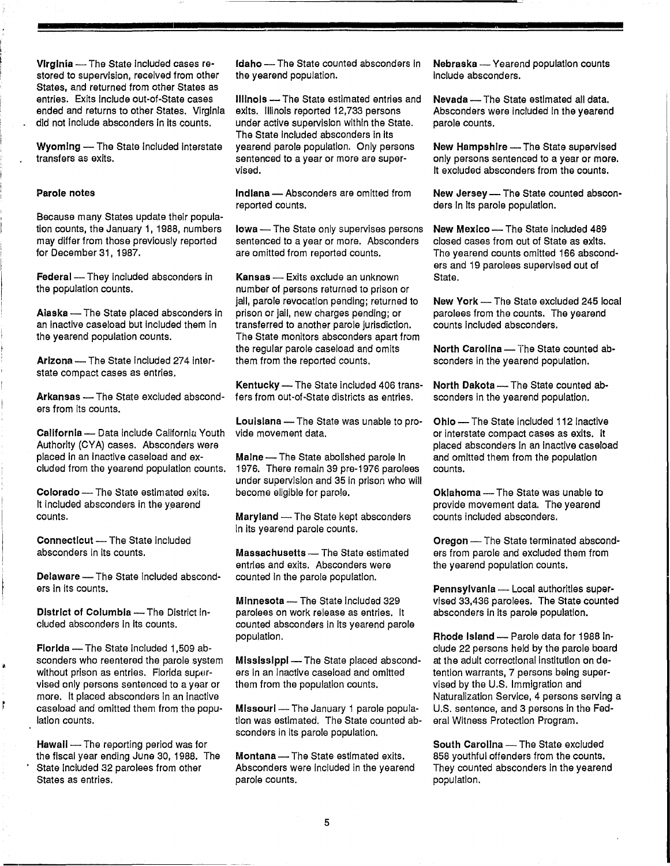Virginia - The State included cases restored to supervision, received from other States, and returned from other States as entries. Exits Include out-of-State cases ended and returns to other States. Virginia did not include absconders In its counts.

Wyoming - The State Included interstate transfers as exits.

### Parole notes

Because many States update their population counts, the January 1, 1988, numbers may differ from those previously reported for December 31, 1987.

Federal - They included absconders in the population counts.

Alaska - The State placed absconders in an Inactive caseload but included them In the yearend population counts.

Arizona - The State included 274 interstate compact cases as entries,

ers from its counts.

California - Data include California Youth Authority (CYA) cases. Absconders were placed In an Inactive caseload and excluded from the yearend population counts.

Colorado - The State estimated exits. It included absconders in the yearend counts.

Connecticut - The State included absconders in its counts.

Delaware - The State included absconders In its counts.

District of Columbia - The District included absconders In Its counts.

Florida - The State included 1,509 absconders who reentered the parole system without prison as entries. Florida supervised only persons sentenced to a year or more. It placed absconders In an Inactive case load and omitted them from the population counts.

Hawall - The reporting period was for the fiscal year ending June 30, 1988. The State Included 32 parolees from other States as entries.

Idaho - The State counted absconders in the yearend population.

Illinois - The State estimated entries and exits. Illinois reported 12,733 persons under active supervision within the State. The State included absconders in its yearend parole population. Only persons sentenced to a year or more are supervised.

Indiana - Absconders are omitted from reported counts.

Iowa - The State only supervises persons sentenced to a year or more. Absconders are omitted from reported counts.

Kansas - Exits exclude an unknown number of persons returned to prison or jail, parole revocation pending; returned to prison or jail, new charges pending; or transferred to another parole jurisdiction. The State monitors absconders apart from the regular parole caseload and omits them from the reported counts.

Kentucky  $-$  The State included 406 trans-<br>fers from out-of-State districts as entries. sconders in the vearend population. Arkansas - The State excluded abscond- fers from out-of-State districts as entries. sconders in the yearend population.

> Louisiana - The State was unable to provide movement data.

> Maine - The State abolished parole in 1976. There remain 39 pre-1976 parolees under supervision and 35 In prison who will become eligible for parole.

Maryland - The State kept absconders In its yearend parole counts.

Massachusetts - The State estimated entries and exits. Absconders were counted In the parole population.

Minnesota - The State included 329 parolees on work release as entries. It counted absconders In its yearend parole population.

Mississippi - The State placed absconders In an Inactive caseload and omitted them from the population counts.

Missouri - The January 1 parole population was estimated. The State counted absconders in its parole population.

Montana - The State estimated exits. Absconders were Included In the yearend parole counts.

Nebraska - Yearend population counts Include absconders.

Nevada - The State estimated all data. Absconders were Included In the yearend parole counts.

New Hampshire - The State supervised only persons sentenced to a year or more. It excluded absconders from the counts.

New Jersey - The State counted absconders In Its parole population.

New Mexico - The State included 489 closed cases from out of State as exits. The yearend counts omitted 166 absconders and 19 parolees supervised out of State.

New York - The State excluded 245 local parolees from the counts. The yearend counts Included absconders.

North Carolina - The State counted absconders in the yearend population.

Ohio - The State included 112 inactive or interstate compact cases as exits. It placed absconders In an Inactive caseload and omitted them from the population counts.

Oklahoma - The State was unable to provide movement data. The yearend counts included absconders.

Oregon - The State terminated absconders from parole and excluded them from the yearend population counts.

Pennsylvania - Local authorities supervised 33,436 parolees. The State counted absconders in its parole population.

Rhode Island - Parole data for 1988 include 22 persons held by the parole board at the adult correctional Institution on detention warrants, 7 persons being supervised by the U.S. Immigration and Naturalization Service, 4 persons serving a U.S. sentence, and 3 persons in the Federal Witness Protection Program.

South Carolina - The State excluded 858 youthful offenders from the counts. They counted absconders in the yearend population.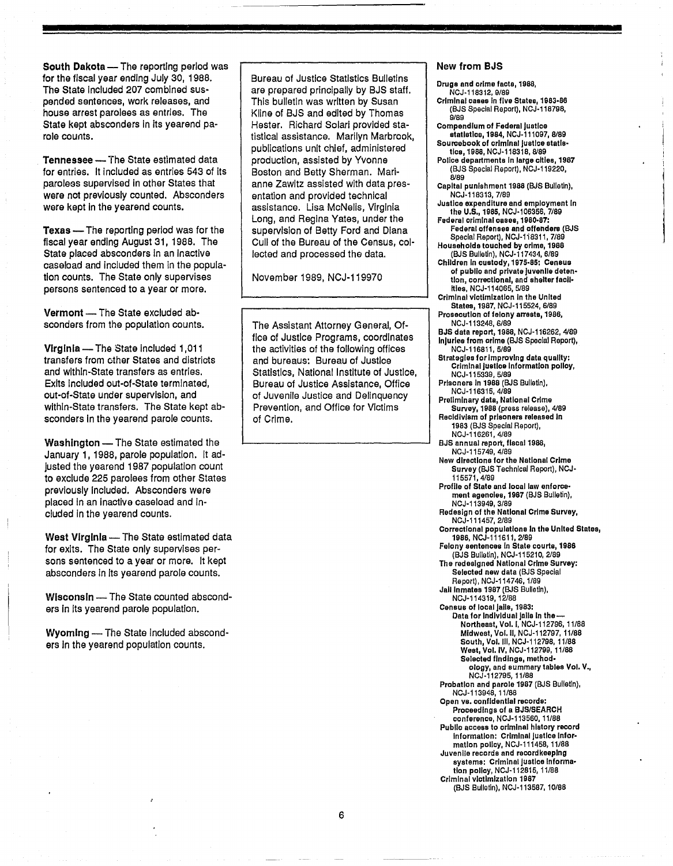South Dakota - The reporting period was for the fiscal year ending July 30, 1988. The State Included 207 combined suspended sentences, work releases, and house arrest parolees as entries. The State kept absconders in its yearend parole counts.

**Tennessee** - The State estimated data for entries. It Included as entries 543 of its paroless supervised in other States that were not previously counted. Absconders were kept in the yearend counts.

**Texas** - The reporting period was for the fiscal year ending August 31, 1988. The State placed absconders in an inactive caseload and included them In the population counts. The State only supervises persons sentenced to a year or more.

Vermont - The State excluded absconders from the population counts.

Virginia - The State included 1,011 transfers from ether States and districts and within-State transfers as entries. Exits Included out-of-State terminated, out-of-State under supervision, and within-State transfers. The State kept absconders In the yearend parole counts.

Washington - The State estimated the January 1,1988, parole population. It adjusted the yearend 1987 population count to exclude 225 parolees from other States previously Included. Absconders were placed In an Inactive caseload and Included In the yearend counts.

West Virginia - The State estimated data for exits. The State only supervises persons sentenced to a year or more. It kept absconders In Its yearend parole counts.

Wisconsin - The State counted absconders in its yearend parole population.

Wyoming - The State included absconders In the yearend population counts.

Bureau of Justice Statistics Bulletins are prepared principally by BJS staff. This bulletin was written by Susan Kline of BJS and edited by Thomas Hester. Richard Solari provided statistical assistance. Marilyn Marbrook, publications unit chief, administered production, assisted by Yvonne Boston and Betty Sherman. Marianne Zawltz assisted with data presentation and provided technical assistance. Lisa McNelis, Virginia Long, and Regina Yates, under the supervision of Betty Ford and Diana Cull of the Bureau of the Census, collected and processed the data.

November 1989, NCJ-119970

The Assistant Attorney General, Office of Justice Programs, coordinates the activities of the following offices and bureaus: Bureau of Justice Statistics, National Institute of Justice, Bureau of Justice Assistance, Office of Juvenile Justice and Delinquency Prevention, and Office for Victims of Crime.

### New from BJS

**n** 

Druga and orlme faots, 1988, NCJ-118312.9/89 Criminal oases In five Statee, 1983-88 (BJS Special Report), NCJ-118798, 9/89 Compendium of Federsl Justioe otatistioe, 1984. NCJ-111097, 8/89 Sourcebook of orlmlnal Justice otatlstics, 1988, NCJ-118318, 8/89 Polloe departments In large oilles, 1967 (BJS Special Report), NCJ-119220, 8189 Capital punishment 1988 (BJS Bulletin), NCJ-118313,7/89 Justioe expenditure and employment In the U.S., 1985, NCJ-106356, 7/89 Federal orlmlnal oBoe8, 1980-87: Federal offenses and offenders (BJS Special Report), NCJ-1i8311, 7/89 Households touohed by orlme,1988 (BJS Bulletin), NCJ-117434, 6/89 Children In oustodY,197S-85: Ceneus of publlo snd private Juvenile detention, oorrectlonal, and shelter facll-Illes, NCJ-114065, 5/89 Criminal victimization In ths United States, 1987, NCJ-115524, 6/89 Prosecution of felony arrests, 1986, NCJ-113248,6/89 BJS data report, 1988, NCJ-116262, 4189 Inlurles from crime (BJS Special Report), NCJ-116811,5/89 Strategies for improving data quality: Criminal Justloe Information polloy, NCJ-115339,5/89 Prisoners In 1988 (BJS Bulletin), NCJ-116315,4/89 Preliminary data, National Crime Survey, 1988 (press release), 4/89 Recidivism of prisoners released in 1983 (BJS Special Report), NCJ-116261,4/89 BJS annual report, flscol1988, NCJ-115749,4/89 New dlreotlons forthe National Crime Survey (BJS Technical Report), NCJ-115571,4/89 Profile of State and local law enforcement agenolee, 1987 (BJS Bulletin), NCJ-113949,3/89 Redesign of the National Crlms Survey, NCJ-111457,2189 Correctional populations in the United States, 1986, NCJ-111611, 2/89 Felony sentenoes In State courts, 1986 (BJS Bulletin), NCJ-115210, 2189 The redesigned National Crime Survey: Selected new data (BJS Special Report), NCJ-114746, 1/89 Jail Inmates 1967 (BJS Bulletin), NCJ-114319,12188 Census of local jails, 1983: Data for Individual jalls in the -Northeast, Vol. I, NCJ-112796, 11188 Midwest, Vol. II, NCJ-112797, 11/88 South, Vol. III, NCJ-112798, 11/88 West, Vol. IV, NCJ-112799, 11/88 Selected findings, methodology, and summary tables Vol. V., NCJ-112795,11I88 Probation and parole 1987 (BJS Bulletin), NCJ-113948,11/88 Open vs. confidential records: Proceedings of a BJS/SEARCH conference, NCJ-113560, 11/88 Public access to criminal history record Information: Criminal Justice Information polley, NCJ-111458, 11/88 Juvenile records and record keeping systems: Criminal justice information policy, NCJ-112815, 11/88 Criminal victimization 1967 (BJS Bulletin), NCJ-113587, 10/88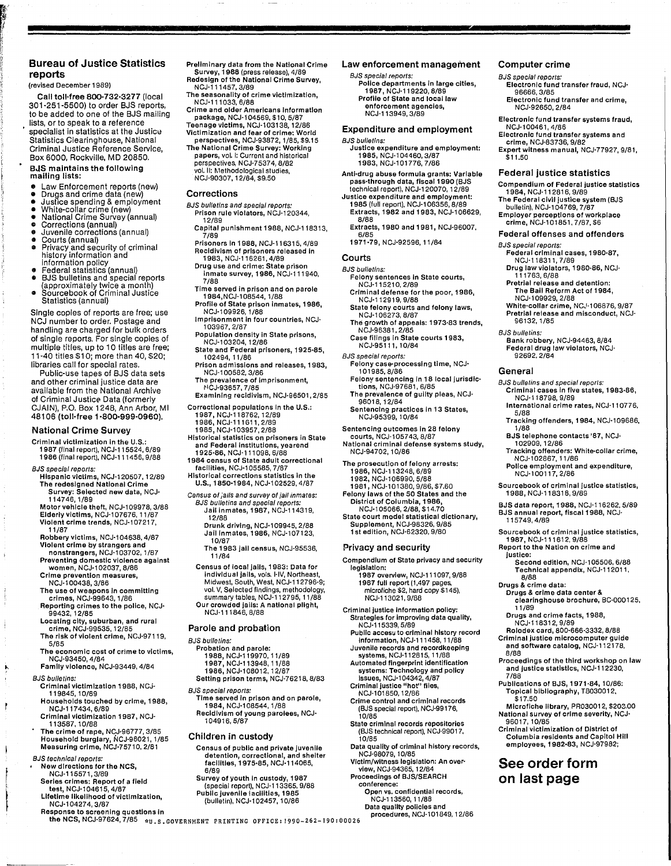### Bureau of Justice Statistics reports

(revised December 1989)

Call toll-free 800-732-3277 (local 301-251-5500) to order BJS reports, to be added to one of the BJS mailing lists, or to speak to a reference specialist in statistics at the Justice Statistics Clearinghouse, National Criminal Justice Reference Service, Box 6000, Rockville, MD 20850.

### BJS maintains the following mailing lists:

- 
- 
- 
- 
- 
- 
- Law Enforcement reports (new)<br>• Drugs and crime data (new)<br>• Justice spending & employment<br>• White-collar crime (new)<br>• National Crime Survey (annual)<br>• Courts (annual)<br>• Courts (annual)<br>• Courts (annual)<br>• Courts (annua Courts (annual)<br>Privacy and security of criminal<br>history information and
- information policy<br>Federal statistics (annual)
- Federal statistics (and special reports (approximately twice a month) Sourcebook of Criminal Justice
- Statistics (annual)

Single copies of reports are free; use NCJ number to order. Postage and handling are charged for bulk orders of single reports. For single copies of multiple titles, up to 10 titles are free; 11-40 titles \$1 0; more than 40 \$20' libraries call for special rates.

Public-use tapes of BJS data sets and other criminal justice data are available from the National Archive of Criminal Justice Data (formerly CJAIN), P.O. Box 1248, Ann Arbor, MI 48106 (toll-free 1-800-999-0960).

### National Crime Survey

Criminal victimization in the U.S.: 1987 (final report), NCJ·115524. 6/89 1986 (final report), NCJ·111456, 9/88

- BJS special reporls:
- HispaniC victims, NGJ-120507, 12/89 The redesigned National Crime Survey: Selected new data, NCJ· 114746,1/89

Motor vehicle theft, NCJ-109978, 3/88 Elderly victims, NCJ-l 07676,11/87 Vioient crime trends, NCJ·l 07217,

11/87 Robbery victims, NCJ·l 04638, 4/87 Violent crime by strangers and non strangers, NCJ-l 03702, 1/87

Preventing domestic violence against women, NCJ·l 02037,8/86

Crime prevention measures, NCJ·l 00438, 3/86

- The use of weapons In committing crimes, NCJ·99643, 1/86 Reporting crimes to the police, NCJ·
- 99432, 1 2/85 Locating city, suburban, and rural crime, NCJ·99535, 12/85
- The risk of violent crime, NCJ·97119, 5/85
- The economic cost of crime to victims, NCJ·93450, 4/84 Family violence, NCJ·93449,4/84
- 

BJS bulletins:

- Criminal victimization 1988, NCJ· 119845, 10/89
- Households touched by crime, 1988, NCJ-117434,6/89
- 
- Criminal victimization 1987, NCJ· 113587,10/88 The crime of rape, NCJ·96777, 3/85 Household burglary, NCJ'96021, 1/85 Measuring crime, NCJ·75710. 2/81
- BJS technical reports: New directions for the NCS,
- NCJ-115571,3/89 Series crimes: Report of a lIeld test, NCJ-104615, 4/87
- 
- 
- Lifetime likelihood of victimization, NCJ-l04274,3/87 Response to screening questions In

Preliminary data from the National Crime Survey, 1988 (press release), 4/89 Redesign of the National Crime Survey,<br>NCJ-111457, 3/89

- The seasonality of crime victimization,
- N CJ-lll 033. 6/88 Crime and older Americans information package, NCJ'104569, \$10, 5/87
- Teenage victims, NCJ·l03138, 12/86 Victimization and fear of crime: World
- perspectives, NCJ·93872, 1/85, \$9.15 The National Crime Survey: Working papers, vol. I: Current and historical perspectives, NCJ-75374, 8/82
- vol. II: Methodological studies,<br>NCJ-90307, 12/84, \$9.50

### Corrections

- BJS bulletins and special reporls: Prison rule violators, NCJ·120344 12/89 '
- Capital punishment 1988, NCJ·118313
- 7/89<br>Prisoners in 1988, NCJ-116315, 4/89
- Recidivism of prisoners released In 1983, NCJ-116261, 4/89 Drug use and crime: State prison<br>inmate survey, 1986, NCJ-111940,
- 7/88
- Time served in prison and on parole<br>1984,NCJ-108544, 1/88<br>Profile of State prison inmates, 1986,
- NCJ·l09926,1/88 " Imprisonment in four countries, NCJ· 103967,2/87
- Population density in State prisons, NCJ·1 03204,12/86
- State and Federal prisoners, 1925·85 102494, 11/86 '
- Prison admissions and releases, 1983, NCJ·l 00582,3/86
- The prevalence of imprisonment, ~ICJ'93657, 7/85
- Examining recidivism, NCJ·96501, 2/85
- Correctional populations In the U.S.: 1987, NCJ·118762, 12/89 1986. NCJ·111611, 2/89
	-
	- 1985, NCJ·l 03957,2/88
- Historical statistics on prisoners in State and Federal Institutions, yearend
- 1925·86, NCJ·l11 098,6/88 1984 census of State adult correctional facilities, NCJ·105585, 7/87
- Historical corrections statistics In the U.S., 1850'1984, NCJ·l 02529.4/87
- Census 01 jails and survey 01 jail inmates: BJS bulletins and special reports: Jail inmates, 1987, NCJ-114319, 12/88
	- Drunk driving, NCJ-109945, 2/88<br>Jail Inmates, 1986, NCJ-107123, 10/87
	- The 1983 Jail census, NCJ·95536, 11/84
- Census of local Jails, 1983: Data for individual JailS, vols. I-IV, Northeast, Midwest, South, West, NCJ·112796·9; vol. V, Selected findings, methodology, summary tables, NCJ·112795, 11/88 Our crowded Jails: A national plight, NCJ·111846,8/88

### Parole and probation

- 
- BJS bulletins:
	- Probation and parole: 1988, NCJ'119970, 11/89 1987, NCJ-113948, 11/88
	-
	- 1986, NCJ·1 08012,12/87 Setting prison terms, NCJ·76218, 8/83
- 
- BJS specIal reporls: Time served In prison and on parole, 1984, NCJ·l08544, 1/88
- Recidivism of young parolees, NCJ· 104916,5/87

### Children in custody

- Census of public and private Juvenile detention, correctional, and shelter facilities, 1975·85, NCJ·114065, 6/89
- Survey of youth In custody, 1987 (special report), NCJ-113365, 9/88<br>Public juvenile lacilities, 1985 (bulletin), NCJ-102457, 10/86

the NCS, NCJ-97624, 7/85 wu.s. GOVERNMENT PRINTING OFFICE: 1990-262-190: 00026

### Law enforcement management

Computer crime BJS special reports:

NCJ·l00461,4/86

 $$11.50$ 

Electronic fund transfer fraud, NCJ· 96666,3/85 Electronic fund transfer and crime, NCJ·92650, 2/84 Electronic fund transfer systems fraud,

Electronic fund transfer systems and crime, NCJ·83736, 9/82 Expert witness manual, NCJ-77927, 9/81

Federal justice statistics Compendium of Federal justice statistics

Federal criminal cases, 1 980·87, NCJ·118311,7/89 Dru9 law violators, 1980·86, NCJ-111763,6/88 Pretrial release and detention: The Ball Reform Act of1984, NCJ·1 09929,2/88

White-collar crime, NCJ-106876, 9/87<br>Pretrial release and misconduct, NCJ-

Criminal cases in five states, 1983-86,

International crime rates, NCJ-110776,

Tracking offenders, 1 984, NCJ·l09686.

Police employment and expenditure, NCJ·l 00117,2/86 Sourcebook of criminal justice statistics,

BJS data report, 1988, NCJ·116262, 5/89 BJS annual report, fiscal 1988, NCJ-

Sourcebook of criminal justice statistics,

Second edition, NCJ·1 05506,6/88 Technical appendix, NCJ'112011, 8/88

Drugs & crime data center & clearinghouse brochure, BC·000125.

Proceedings of the third workshop on law and justice statistics, NCJ·112230,

Mlcrollche library, PR030012, \$203.00 National survey of crime severity, NCJ· 96017,10/85 Criminal victimization of District of Columbia residents and Capitol Hili employees, 1982-83, NCJ·97982;

Publications of BJS, 1971·84, 10/86: Topical bibliography, TB030012.

See order form on last page

Drugs and crime facts, 1988, NCJ·118312,9/89 Rolodex card, 800'666·3332, 8/88 Criminal justice microcomputer guide and software catalog, NCJ·112178,

BJS telephone contacts '87, NCJ· 102909, 12/86 Tracking oHenders: White-collar crime,

Bank robbery, NCJ·94463, 8/84 Federal drug law violators, NCJ· 92692,2/84

BJS bulletins and special reports:

NCJ·118798,9/89

NCJ·l02867, 11/86

1988, NCJ·118318,9/89

1987, NCJ·111612. 9/88 Report to the Nation on crime and

115749,4/89

Drugs & crime data:

11/89

8/88

7/88

\$17.50

justice:

1984, NCJ·112816, 9/89 The Federal civil justice system (BJS bulletin), NCJ'104769, 7/87 Employer perceptions of workplace crime, NCJ-101851, 7/87, \$6 Federal offenses and offenders

BJS special reporls:

96132,1/85 BJS bulletins:

General

5/88

1/88

BJS special reports: Police departments in large cities,<br>1987, NCJ·119220, 8/89<br>Profile of State and local law<br>enforcement agencies,

### NCJ'113949,3/89 Expenditure and employment

### BJS bulletins:

- Justice expenditure and employment: 1985, NCJ·l 04460, 3/87 1983, NCJ·l01776, 7/86
- Anti·drug abuse formula grants: Variable pass-through data, fiscal 1990 (BJS<br>technical report), NCJ-120070, 12/89
- Justice expenditure and employment: 1 985 (full report). NCJ-l 06356,8/89 Extracts, 1982 and 1983, NCJ-106629,<br> $B/BB$ 
	- 8/88 ' Extracts, 1980 and 1 981, NCJ·96007 6/85 •
- 1971-79, NCJ·92596, 11/84

### Courts

- BJS bulletins: Felony sentences In State courts, NCJ·115210, 2/89
- Criminal defense for the poor, 1986,
- NCJ-112919, 9/88<br>State felony courts and felony laws,<br>NCJ-106273, 8/87
- The growth of appeals: 1973·83 trends, NCJ·96381 ,2/85
- Case filings in State courts 1983,<br>NCJ-95111, 10/84

#### BJS special reporls:

96018. 12/84

- Felony case-processing time, NCJ· 101985,8/86 Felony sentencing In 18 local jurisdlc'
- tions, NCJ-97681, 6/85 The prevalence of guilty pleas, NCJ·

Sentencing practices in 13 States, NCJ·95399, 10/84 Sentencing outcomes in 28 felony courts, NCJ·l05743, 8/87

National criminal defense systems study, NCJ'94702, 10/86

Compendium of State privacy and security

1987 overview, NCJ·l11 097,9/88 1987 full report (1,497 pages microfiche \$2, hard copy \$145), NCJ·113021,9/88 Criminal justice Information policy: Strategies for improving data quality,

Public accesu to criminal history record Information, NCJ·111458, 11/88 Juvenile records and recordkeeplng systems, NCJ·112815, 11/88 Automated fingerprint identification systems: Technology and policy Issues, NCJ·1 04342, 4/87 Criminal justice "hot" files,<br>| NCJ-101850, 12/86<br>Crime control and criminal records| (BJS special report), NCJ·99176,

State criminal records repositories (BJS technical report), NCJ·99017.

Data quality of criminal history records, NCJ·98079,10/85 Victim/witness legislation: An over' view, NCJ·94365, 12/84 Proceedings of BJS/SEARCH

> Open vs. confidential records, NCJ'113560, 11/88 Data quality policies and

procedures, NCJ·101849, 12/86

The prosecution of felony arrests: 1986, NCJ·113248, 6/89 1982, NCJ·l06990, 5/88 1981, NCJ'101380, 9/86, \$7.60 Felony laws of the 50 States and the District of Columbia, 1986, NCJ·1 05066,2/88, \$14.70 State court model statistical dictionary, Supplement, NCJ·98326, 9/85 1 st edition, NCJ'62320, 9/80

Privacy and security

NCJ·115339,5/89

legislation:

10/85

10/85

conference: